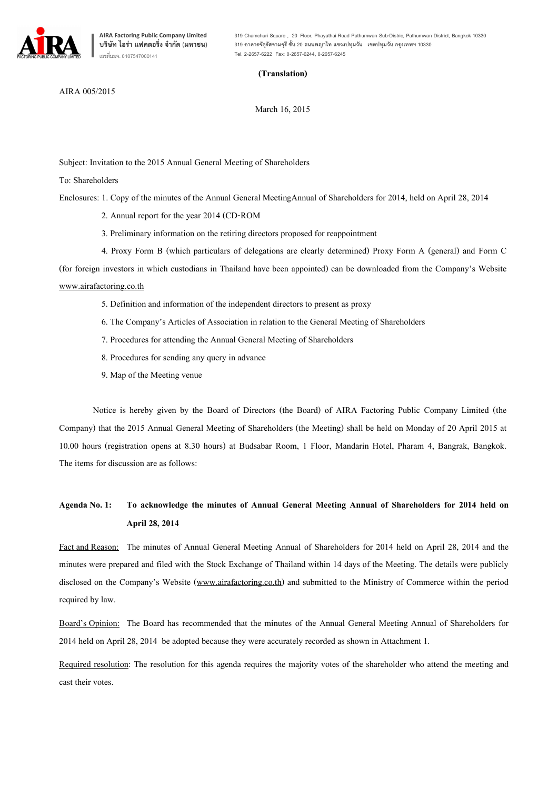

**319 Chamchuri Square , 20 Floor, Phayathai Road Pathumwan Sub-Distric, Pathumwan District, Bangkok 10330 319 อาคารจัตุรัสจามจุรี ชั้น 20 ถนนพญาไท แขวงปทุมวัน เขตปทุมวัน กรุงเทพฯ 10330 Tel. 2-2657-6222 Fax: 0-2657-6244, 0-2657-6245**

## **(Translation)**

AIRA 005/2015

March 16, 2015

Subject: Invitation to the 2015 Annual General Meeting of Shareholders

To: Shareholders

Enclosures: 1. Copy of the minutes of the Annual General MeetingAnnual of Shareholders for 2014, held on April 28, 2014

- 2. Annual report for the year 2014 (CD-ROM
- 3. Preliminary information on the retiring directors proposed for reappointment
- 4. Proxy Form B (which particulars of delegations are clearly determined) Proxy Form A (general) and Form C

(for foreign investors in which custodians in Thailand have been appointed) can be downloaded from the Company's Website www.airafactoring.co.th

- 5. Definition and information of the independent directors to present as proxy
- 6. The Company's Articles of Association in relation to the General Meeting of Shareholders
- 7. Procedures for attending the Annual General Meeting of Shareholders
- 8.Procedures for sending any query in advance
- 9. Map of the Meeting venue

Notice is hereby given by the Board of Directors (the Board) of AIRA Factoring Public Company Limited (the Company) that the 2015 Annual General Meeting of Shareholders (the Meeting) shall be held on Monday of 20 April 2015 at 10.00 hours (registration opens at 8.30 hours) at Budsabar Room, 1 Floor, Mandarin Hotel, Pharam 4, Bangrak, Bangkok. The items for discussion are as follows:

# **Agenda No. 1: To acknowledge the minutes of Annual General Meeting Annual of Shareholders for 2014 held on April 28, 2014**

Fact and Reason: The minutes of Annual General Meeting Annual of Shareholders for 2014 held on April 28, 2014 and the minutes were prepared and filed with the Stock Exchange of Thailand within 14 days of the Meeting. The details were publicly disclosed on the Company's Website (www.airafactoring.co.th) and submitted to the Ministry of Commerce within the period required by law.

Board's Opinion: The Board has recommended that the minutes of the Annual General Meeting Annual of Shareholders for 2014 held on April 28, 2014 be adopted because they were accurately recorded as shown in Attachment 1.

Required resolution: The resolution for this agenda requires the majority votes of the shareholder who attend the meeting and cast their votes.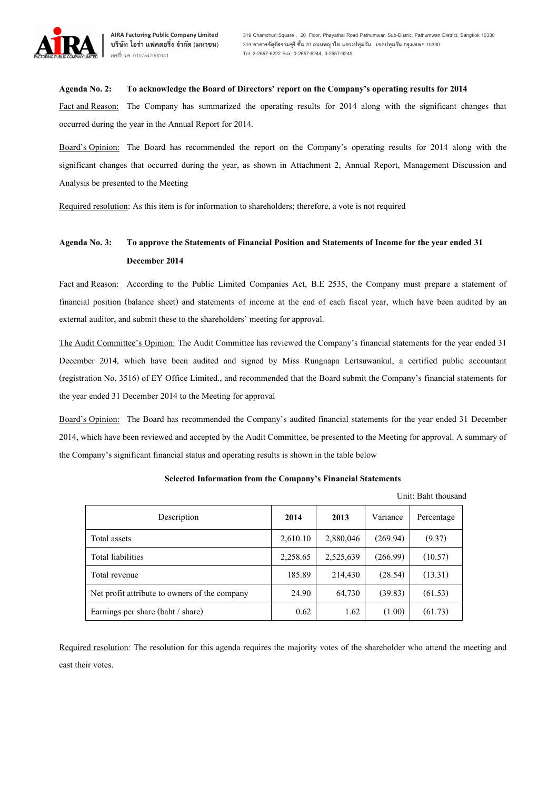

**AIRA Factoring Public Company Limited บริษัท ไอรา แฟคตอริ่ง จํากัด (มหาชน)** เลขที่บมจ. 0107547000141

### **Agenda No. 2: To acknowledge the Board of Directors' report on the Company's operating results for 2014**

Fact and Reason: The Company has summarized the operating results for 2014 along with the significant changes that occurred during the year in the Annual Report for 2014.

Board's Opinion: The Board has recommended the report on the Company's operating results for 2014 along with the significant changes that occurred during the year, as shown in Attachment 2, Annual Report, Management Discussion and Analysis be presented to the Meeting

Required resolution: As this item is for information to shareholders; therefore, a vote is not required

# **Agenda No. 3: To approve the Statements of Financial Position and Statements of Income for the year ended 31 December 2014**

Fact and Reason: According to the Public Limited Companies Act, B.E 2535, the Company must prepare a statement of financial position (balance sheet) and statements of income at the end of each fiscal year, which have been audited by an external auditor, and submit these to the shareholders' meeting for approval.

The Audit Committee's Opinion: The Audit Committee has reviewed the Company's financial statements for the year ended 31 December 2014, which have been audited and signed by Miss Rungnapa Lertsuwankul, a certified public accountant (registration No. 3516) of EY Office Limited., and recommended that the Board submit the Company's financial statements for the year ended 31 December 2014 to the Meeting for approval

Board's Opinion: The Board has recommended the Company's audited financial statements for the year ended 31 December 2014, which have been reviewed and accepted by the Audit Committee, be presented to the Meeting for approval. A summary of the Company's significant financial status and operating results is shown in the table below

## **Selected Information from the Company's Financial Statements**

|  | Unit: Baht thousand |
|--|---------------------|
|  |                     |

| Description                                   | 2014     | 2013      | Variance | Percentage |
|-----------------------------------------------|----------|-----------|----------|------------|
| Total assets                                  | 2,610.10 | 2,880,046 | (269.94) | (9.37)     |
| Total liabilities                             | 2,258.65 | 2,525,639 | (266.99) | (10.57)    |
| Total revenue                                 | 185.89   | 214,430   | (28.54)  | (13.31)    |
| Net profit attribute to owners of the company | 24.90    | 64,730    | (39.83)  | (61.53)    |
| Earnings per share (baht / share)             | 0.62     | 1.62      | (1.00)   | (61.73)    |

Required resolution: The resolution for this agenda requires the majority votes of the shareholder who attend the meeting and cast their votes.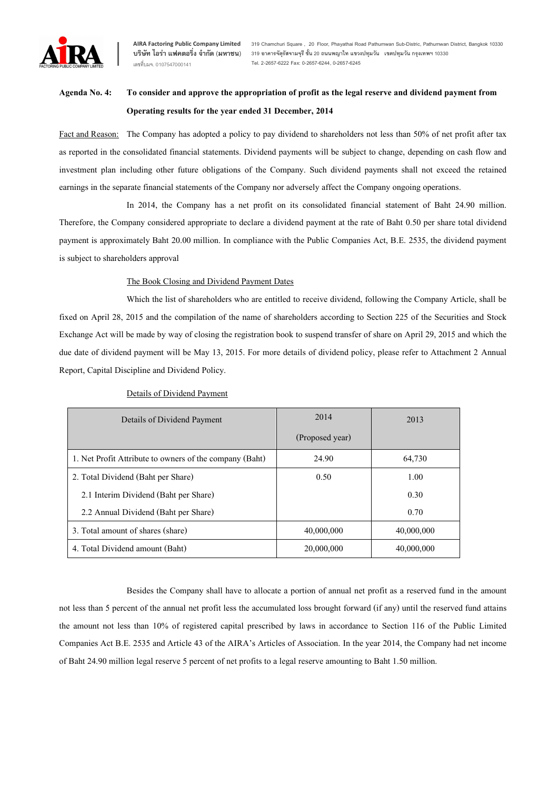

เลขที่บมจ. 0107547000141

# **Agenda No. 4: To consider and approve the appropriation of profit as the legal reserve and dividend payment from Operating results for the year ended 31 December, 2014**

Fact and Reason: The Company has adopted a policy to pay dividend to shareholders not less than 50% of net profit after tax as reported in the consolidated financial statements. Dividend payments will be subject to change, depending on cash flow and investment plan including other future obligations of the Company. Such dividend payments shall not exceed the retained earnings in the separate financial statements of the Company nor adversely affect the Company ongoing operations.

In 2014, the Company has a net profit on its consolidated financial statement of Baht 24.90 million. Therefore, the Company considered appropriate to declare a dividend payment at the rate of Baht 0.50 per share total dividend payment is approximately Baht 20.00 million. In compliance with the Public Companies Act, B.E. 2535, the dividend payment is subject to shareholders approval

# The Book Closing and Dividend Payment Dates

Which the list of shareholders who are entitled to receive dividend, following the Company Article, shall be fixed on April 28, 2015 and the compilation of the name of shareholders according to Section 225 of the Securities and Stock Exchange Act will be made by way of closing the registration book to suspend transfer of share on April 29, 2015 and which the due date of dividend payment will be May 13, 2015. For more details of dividend policy, please refer to Attachment 2 Annual Report, Capital Discipline and Dividend Policy.

| Details of Dividend Payment                             | 2014            | 2013       |
|---------------------------------------------------------|-----------------|------------|
|                                                         | (Proposed year) |            |
| 1. Net Profit Attribute to owners of the company (Baht) | 24.90           | 64,730     |
| 2. Total Dividend (Baht per Share)                      | 0.50            | 1.00       |
| 2.1 Interim Dividend (Baht per Share)                   |                 | 0.30       |
| 2.2 Annual Dividend (Baht per Share)                    |                 | 0.70       |
| 3. Total amount of shares (share)                       | 40,000,000      | 40,000,000 |
| 4. Total Dividend amount (Baht)                         | 20,000,000      | 40,000,000 |

# Details of Dividend Payment

Besides the Company shall have to allocate a portion of annual net profit as a reserved fund in the amount not less than 5 percent of the annual net profit less the accumulated loss brought forward (if any) until the reserved fund attains the amount not less than 10% of registered capital prescribed by laws in accordance to Section 116 of the Public Limited Companies Act B.E. 2535 and Article 43 of the AIRA's Articles of Association. In the year 2014, the Company had net income of Baht 24.90 million legal reserve 5 percent of net profits to a legal reserve amounting to Baht 1.50 million.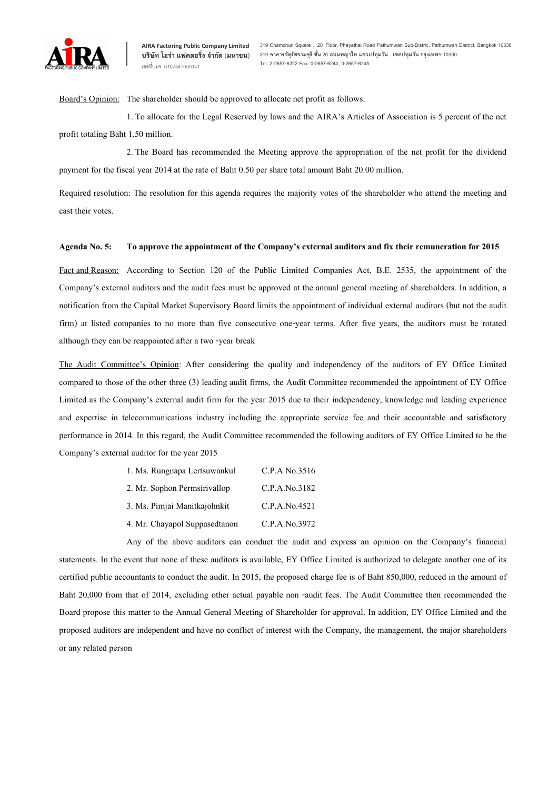

เลขที่บมจ. 0107547000141

Board's Opinion: The shareholder should be approved to allocate net profit as follows:

1. To allocate for the Legal Reserved by laws and the AIRA's Articles of Association is 5 percent of the net profit totaling Baht 1.50 million.

2. The Board has recommended the Meeting approve the appropriation of the net profit for the dividend payment for the fiscal year 2014 at the rate of Baht 0.50 per share total amount Baht 20.00 million.

Required resolution: The resolution for this agenda requires the majority votes of the shareholder who attend the meeting and cast their votes.

#### **Agenda No. 5: To approve the appointment of the Company's external auditors andfix their remuneration for 2015**

Fact and Reason: According to Section 120 of the Public Limited Companies Act, B.E. 2535, the appointment of the Company's external auditors and the audit fees must be approved at the annual general meeting of shareholders. In addition, a notification from the Capital Market Supervisory Board limits the appointment of individual external auditors (but not the audit firm) at listed companies to no more than five consecutive one-year terms. After five years, the auditors must be rotated although they can be reappointed after a two -year break

The Audit Committee's Opinion: After considering the quality and independency of the auditors of EY Office Limited compared to those of the other three (3) leading audit firms, the Audit Committee recommended the appointment of EY Office Limited as the Company's external audit firm for the year 2015 due to their independency, knowledge and leading experience and expertise in telecommunications industry including the appropriate service fee and their accountable and satisfactory performance in 2014. In this regard, the Audit Committee recommended the following auditors of EY Office Limited to be the Company's external auditor for the year 2015

| 1. Ms. Rungnapa Lertsuwankul  | C.P.A No.3516 |
|-------------------------------|---------------|
| 2. Mr. Sophon Permsirivallop  | C.P.A.No.3182 |
| 3. Ms. Pimjai Manitkajohnkit  | C.P.A.No.4521 |
| 4. Mr. Chayapol Suppasedtanon | C.P.A.No.3972 |

Any of the above auditors can conduct the audit and express an opinion on the Company's financial statements. In the event that none of these auditors is available, EY Office Limited is authorized to delegate another one of its certified public accountants to conduct the audit. In 2015, the proposed charge fee is of Baht 850,000, reduced in the amount of Baht 20,000 from that of 2014, excluding other actual payable non -audit fees. The Audit Committee then recommended the Board propose this matter to the Annual General Meeting of Shareholder for approval. In addition, EY Office Limited and the proposed auditors are independent and have no conflict of interest with the Company, the management, the major shareholders or any related person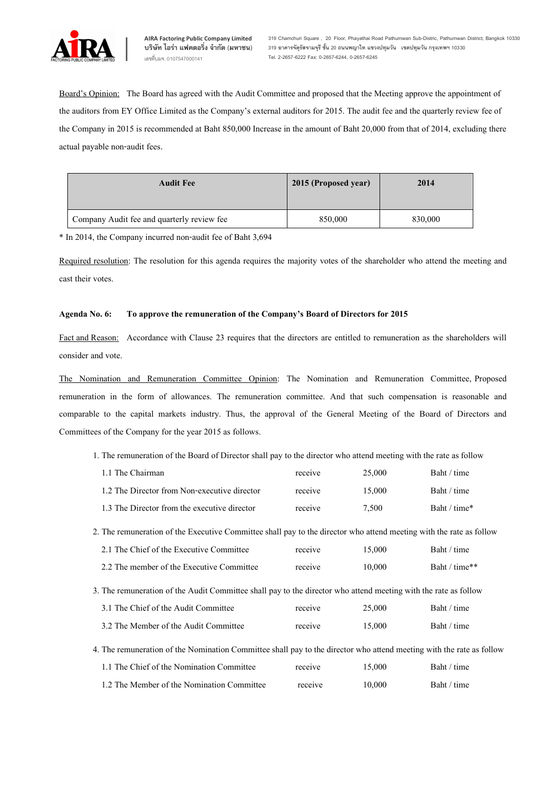

Board's Opinion: The Board has agreed with the Audit Committee and proposed that the Meeting approve the appointment of the auditors from EY Office Limited as the Company's external auditors for 2015. The audit fee and the quarterly review fee of the Company in 2015 is recommended at Baht 850,000 Increase in the amount of Baht 20,000 from that of 2014, excluding there actual payable non-audit fees.

| <b>Audit Fee</b>                           | 2015 (Proposed year) | 2014    |
|--------------------------------------------|----------------------|---------|
| Company Audit fee and quarterly review fee | 850,000              | 830,000 |

\* In 2014, the Company incurred non-audit fee of Baht 3,694

Required resolution: The resolution for this agenda requires the majority votes of the shareholder who attend the meeting and cast their votes.

## **Agenda No. 6: To approve the remuneration of the Company's Board of Directors for 2015**

Fact and Reason: Accordance with Clause 23 requires that the directors are entitled to remuneration as the shareholders will consider and vote.

The Nomination and Remuneration Committee Opinion: The Nomination and Remuneration Committee, Proposed remuneration in the form of allowances. The remuneration committee. And that such compensation is reasonable and comparable to the capital markets industry. Thus, the approval of the General Meeting of the Board of Directors and Committees of the Company for the year 2015 as follows.

1. The remuneration of the Board of Director shall pay to the director who attend meeting with the rate as follow

| 1.1 The Chairman                             | receive | 25,000 | Baht / time  |
|----------------------------------------------|---------|--------|--------------|
| 1.2 The Director from Non-executive director | receive | 15,000 | Baht / time  |
| 1.3 The Director from the executive director | receive | 7.500  | Baht / time* |

2. The remuneration of the Executive Committee shall pay to the director who attend meeting with the rate as follow

| 2.1 The Chief of the Executive Committee  | receive | 15,000 | Baht / time   |
|-------------------------------------------|---------|--------|---------------|
| 2.2 The member of the Executive Committee | receive | 10,000 | Baht / time** |

3. The remuneration of the Audit Committee shall pay to the director who attend meeting with the rate as follow

| 3.1 The Chief of the Audit Committee  | receive | 25,000 | Baht / time |
|---------------------------------------|---------|--------|-------------|
| 3.2 The Member of the Audit Committee | receive | 15,000 | Baht / time |

4. The remuneration of the Nomination Committee shall pay to the director who attend meeting with the rate as follow

| 1.1 The Chief of the Nomination Committee  | receive | 15,000 | Baht / time |
|--------------------------------------------|---------|--------|-------------|
| 1.2 The Member of the Nomination Committee | receive | 10.000 | Baht / time |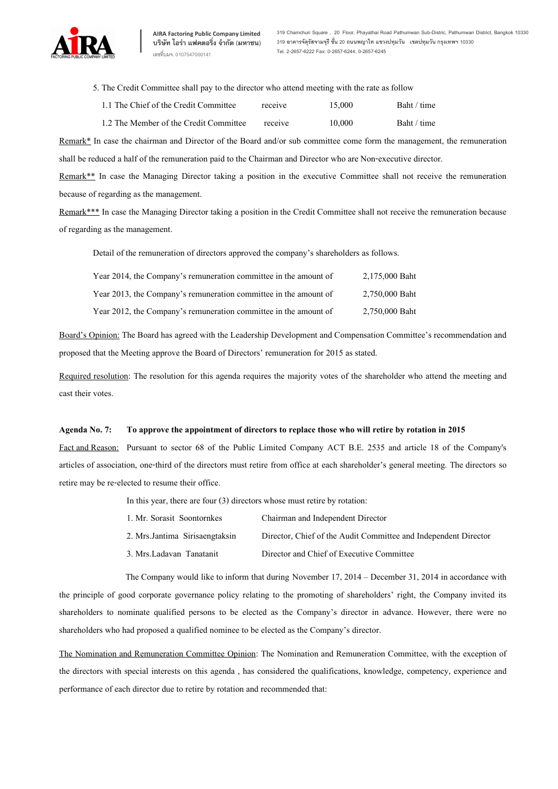

**AIRA Factoring Public Company Limited บริษัท ไอรา แฟคตอริ่ง จํากัด (มหาชน)** เลขที่บมจ. 0107547000141

**319 Chamchuri Square , 20 Floor, Phayathai Road Pathumwan Sub-Distric, Pathumwan District, Bangkok 10330 319 อาคารจัตุรัสจามจุรี ชั้น 20 ถนนพญาไท แขวงปทุมวัน เขตปทุมวัน กรุงเทพฯ 10330 Tel. 2-2657-6222 Fax: 0-2657-6244, 0-2657-6245**

5. The Credit Committee shall pay to the director who attend meeting with the rate as follow

| 1.1 The Chief of the Credit Committee  | receive | 15,000 | Baht / time |
|----------------------------------------|---------|--------|-------------|
| 1.2 The Member of the Credit Committee | receive | 10.000 | Baht / time |

Remark\* In case the chairman and Director of the Board and/or sub committee come form the management, the remuneration shall be reduced a half of the remuneration paid to the Chairman and Director who are Non-executive director. Remark\*\* In case the Managing Director taking a position in the executive Committee shall not receive the remuneration

because of regarding as the management.

Remark\*\*\* In case the Managing Director taking a position in the Credit Committee shall not receive the remuneration because of regarding as the management.

Detail of the remuneration of directors approved the company's shareholders as follows.

| Year 2014, the Company's remuneration committee in the amount of | 2,175,000 Baht |
|------------------------------------------------------------------|----------------|
| Year 2013, the Company's remuneration committee in the amount of | 2,750,000 Baht |
| Year 2012, the Company's remuneration committee in the amount of | 2,750,000 Baht |

Board's Opinion: The Board has agreed with the Leadership Development and Compensation Committee's recommendation and proposed that the Meeting approve the Board of Directors' remuneration for 2015 as stated.

Required resolution: The resolution for this agenda requires the majority votes of the shareholder who attend the meeting and cast their votes.

### **Agenda No. 7: To approve the appointment of directors to replace those who will retire by rotation in 2015**

Fact and Reason: Pursuant to sector 68 of the Public Limited Company ACT B.E. 2535 and article 18 of the Company's articles of association, one-third of the directors must retire from office at each shareholder's general meeting. The directors so retire may be re-elected to resume their office.

In this year, there are four (3) directors whose must retire by rotation:

- 1. Mr. Sorasit Soontornkes Chairman and Independent Director
- 2. Mrs.Jantima Sirisaengtaksin Director, Chief of the Audit Committee and Independent Director
- 3. Mrs.Ladavan Tanatanit Director and Chief of Executive Committee

The Company would like to inform that during November 17, 2014 – December 31, 2014 in accordance with the principle of good corporate governance policy relating to the promoting of shareholders' right, the Company invited its shareholders to nominate qualified persons to be elected as the Company's director in advance. However, there were no shareholders who had proposed a qualified nominee to be elected as the Company's director.

The Nomination and Remuneration Committee Opinion: The Nomination and Remuneration Committee, with the exception of the directors with special interests on this agenda , has considered the qualifications, knowledge, competency, experience and performance of each director due to retire by rotation and recommended that: